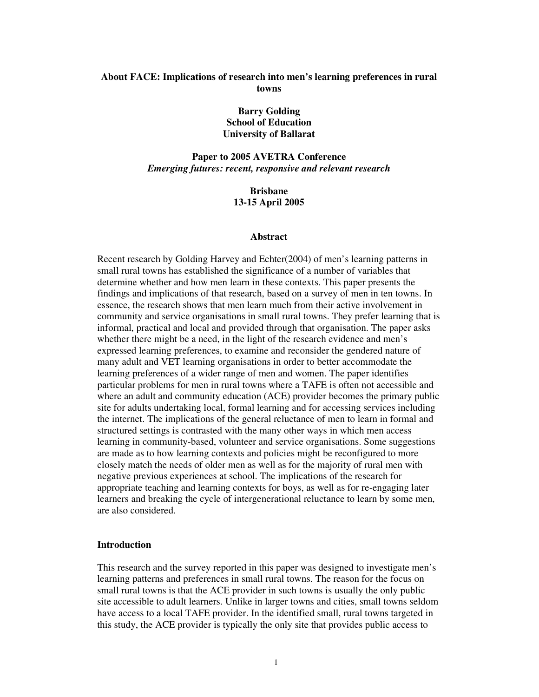## **About FACE: Implications of research into men's learning preferences in rural towns**

**Barry Golding School of Education University of Ballarat**

## **Paper to 2005 AVETRA Conference** *Emerging futures: recent, responsive and relevant research*

**Brisbane 13-15 April 2005**

#### **Abstract**

Recent research by Golding Harvey and Echter(2004) of men's learning patterns in small rural towns has established the significance of a number of variables that determine whether and how men learn in these contexts. This paper presents the findings and implications of that research, based on a survey of men in ten towns. In essence, the research shows that men learn much from their active involvement in community and service organisations in small rural towns. They prefer learning that is informal, practical and local and provided through that organisation. The paper asks whether there might be a need, in the light of the research evidence and men's expressed learning preferences, to examine and reconsider the gendered nature of many adult and VET learning organisations in order to better accommodate the learning preferences of a wider range of men and women. The paper identifies particular problems for men in rural towns where a TAFE is often not accessible and where an adult and community education (ACE) provider becomes the primary public site for adults undertaking local, formal learning and for accessing services including the internet. The implications of the general reluctance of men to learn in formal and structured settings is contrasted with the many other ways in which men access learning in community-based, volunteer and service organisations. Some suggestions are made as to how learning contexts and policies might be reconfigured to more closely match the needs of older men as well as for the majority of rural men with negative previous experiences at school. The implications of the research for appropriate teaching and learning contexts for boys, as well as for re-engaging later learners and breaking the cycle of intergenerational reluctance to learn by some men, are also considered.

#### **Introduction**

This research and the survey reported in this paper was designed to investigate men's learning patterns and preferences in small rural towns. The reason for the focus on small rural towns is that the ACE provider in such towns is usually the only public site accessible to adult learners. Unlike in larger towns and cities, small towns seldom have access to a local TAFE provider. In the identified small, rural towns targeted in this study, the ACE provider is typically the only site that provides public access to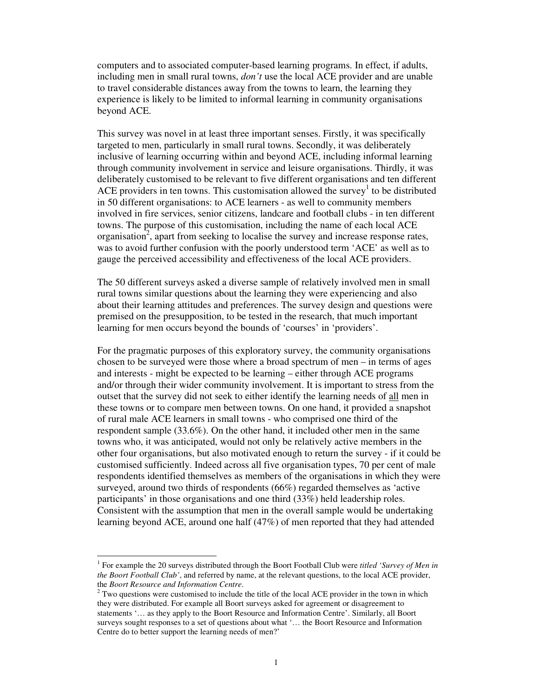computers and to associated computer-based learning programs. In effect, if adults, including men in small rural towns, *don't* use the local ACE provider and are unable to travel considerable distances away from the towns to learn, the learning they experience is likely to be limited to informal learning in community organisations beyond ACE.

This survey was novel in at least three important senses. Firstly, it was specifically targeted to men, particularly in small rural towns. Secondly, it was deliberately inclusive of learning occurring within and beyond ACE, including informal learning through community involvement in service and leisure organisations. Thirdly, it was deliberately customised to be relevant to five different organisations and ten different ACE providers in ten towns. This customisation allowed the survey<sup>1</sup> to be distributed in 50 different organisations: to ACE learners - as well to community members involved in fire services, senior citizens, landcare and football clubs - in ten different towns. The purpose of this customisation, including the name of each local ACE organisation<sup>2</sup>, apart from seeking to localise the survey and increase response rates, was to avoid further confusion with the poorly understood term 'ACE' as well as to gauge the perceived accessibility and effectiveness of the local ACE providers.

The 50 different surveys asked a diverse sample of relatively involved men in small rural towns similar questions about the learning they were experiencing and also about their learning attitudes and preferences. The survey design and questions were premised on the presupposition, to be tested in the research, that much important learning for men occurs beyond the bounds of 'courses' in 'providers'.

For the pragmatic purposes of this exploratory survey, the community organisations chosen to be surveyed were those where a broad spectrum of men – in terms of ages and interests - might be expected to be learning – either through ACE programs and/or through their wider community involvement. It is important to stress from the outset that the survey did not seek to either identify the learning needs of all men in these towns or to compare men between towns. On one hand, it provided a snapshot of rural male ACE learners in small towns - who comprised one third of the respondent sample (33.6%). On the other hand, it included other men in the same towns who, it was anticipated, would not only be relatively active members in the other four organisations, but also motivated enough to return the survey - if it could be customised sufficiently. Indeed across all five organisation types, 70 per cent of male respondents identified themselves as members of the organisations in which they were surveyed, around two thirds of respondents (66%) regarded themselves as 'active participants' in those organisations and one third (33%) held leadership roles. Consistent with the assumption that men in the overall sample would be undertaking learning beyond ACE, around one half (47%) of men reported that they had attended

<sup>1</sup> For example the 20 surveys distributed through the Boort Football Club were *titled 'Survey of Men in the Boort Football Club'*, and referred by name, at the relevant questions, to the local ACE provider, the *Boort Resource and Information Centre*.

 $2$  Two questions were customised to include the title of the local ACE provider in the town in which they were distributed. For example all Boort surveys asked for agreement or disagreement to statements '… as they apply to the Boort Resource and Information Centre'. Similarly, all Boort surveys sought responses to a set of questions about what '… the Boort Resource and Information Centre do to better support the learning needs of men?'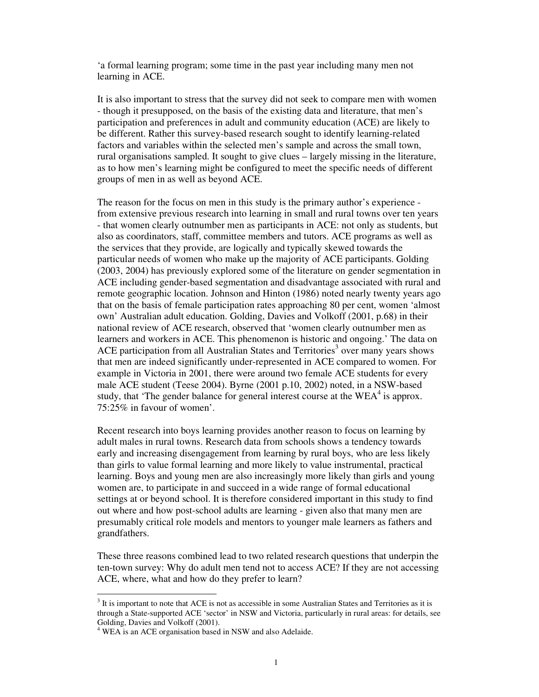'a formal learning program; some time in the past year including many men not learning in ACE.

It is also important to stress that the survey did not seek to compare men with women - though it presupposed, on the basis of the existing data and literature, that men's participation and preferences in adult and community education (ACE) are likely to be different. Rather this survey-based research sought to identify learning-related factors and variables within the selected men's sample and across the small town, rural organisations sampled. It sought to give clues – largely missing in the literature, as to how men's learning might be configured to meet the specific needs of different groups of men in as well as beyond ACE.

The reason for the focus on men in this study is the primary author's experience from extensive previous research into learning in small and rural towns over ten years - that women clearly outnumber men as participants in ACE: not only as students, but also as coordinators, staff, committee members and tutors. ACE programs as well as the services that they provide, are logically and typically skewed towards the particular needs of women who make up the majority of ACE participants. Golding (2003, 2004) has previously explored some of the literature on gender segmentation in ACE including gender-based segmentation and disadvantage associated with rural and remote geographic location. Johnson and Hinton (1986) noted nearly twenty years ago that on the basis of female participation rates approaching 80 per cent, women 'almost own' Australian adult education. Golding, Davies and Volkoff (2001, p.68) in their national review of ACE research, observed that 'women clearly outnumber men as learners and workers in ACE. This phenomenon is historic and ongoing.' The data on ACE participation from all Australian States and Territories<sup>3</sup> over many years shows that men are indeed significantly under-represented in ACE compared to women. For example in Victoria in 2001, there were around two female ACE students for every male ACE student (Teese 2004). Byrne (2001 p.10, 2002) noted, in a NSW-based study, that 'The gender balance for general interest course at the  $WEA<sup>4</sup>$  is approx. 75:25% in favour of women'.

Recent research into boys learning provides another reason to focus on learning by adult males in rural towns. Research data from schools shows a tendency towards early and increasing disengagement from learning by rural boys, who are less likely than girls to value formal learning and more likely to value instrumental, practical learning. Boys and young men are also increasingly more likely than girls and young women are, to participate in and succeed in a wide range of formal educational settings at or beyond school. It is therefore considered important in this study to find out where and how post-school adults are learning - given also that many men are presumably critical role models and mentors to younger male learners as fathers and grandfathers.

These three reasons combined lead to two related research questions that underpin the ten-town survey: Why do adult men tend not to access ACE? If they are not accessing ACE, where, what and how do they prefer to learn?

 $3$  It is important to note that ACE is not as accessible in some Australian States and Territories as it is through a State-supported ACE 'sector' in NSW and Victoria, particularly in rural areas: for details, see Golding, Davies and Volkoff (2001).

<sup>&</sup>lt;sup>4</sup> WEA is an ACE organisation based in NSW and also Adelaide.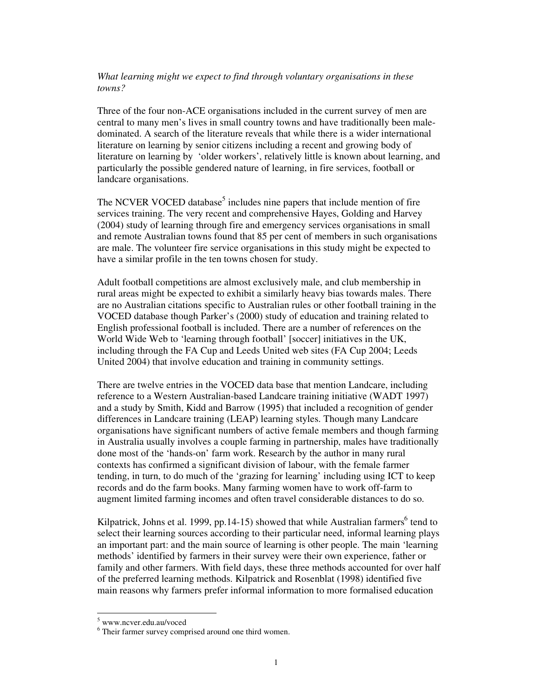### *What learning might we expect to find through voluntary organisations in these towns?*

Three of the four non-ACE organisations included in the current survey of men are central to many men's lives in small country towns and have traditionally been maledominated. A search of the literature reveals that while there is a wider international literature on learning by senior citizens including a recent and growing body of literature on learning by 'older workers', relatively little is known about learning, and particularly the possible gendered nature of learning, in fire services, football or landcare organisations.

The NCVER VOCED database<sup>5</sup> includes nine papers that include mention of fire services training. The very recent and comprehensive Hayes, Golding and Harvey (2004) study of learning through fire and emergency services organisations in small and remote Australian towns found that 85 per cent of members in such organisations are male. The volunteer fire service organisations in this study might be expected to have a similar profile in the ten towns chosen for study.

Adult football competitions are almost exclusively male, and club membership in rural areas might be expected to exhibit a similarly heavy bias towards males. There are no Australian citations specific to Australian rules or other football training in the VOCED database though Parker's (2000) study of education and training related to English professional football is included. There are a number of references on the World Wide Web to 'learning through football' [soccer] initiatives in the UK, including through the FA Cup and Leeds United web sites (FA Cup 2004; Leeds United 2004) that involve education and training in community settings.

There are twelve entries in the VOCED data base that mention Landcare, including reference to a Western Australian-based Landcare training initiative (WADT 1997) and a study by Smith, Kidd and Barrow (1995) that included a recognition of gender differences in Landcare training (LEAP) learning styles. Though many Landcare organisations have significant numbers of active female members and though farming in Australia usually involves a couple farming in partnership, males have traditionally done most of the 'hands-on' farm work. Research by the author in many rural contexts has confirmed a significant division of labour, with the female farmer tending, in turn, to do much of the 'grazing for learning' including using ICT to keep records and do the farm books. Many farming women have to work off-farm to augment limited farming incomes and often travel considerable distances to do so.

Kilpatrick, Johns et al. 1999, pp.14-15) showed that while Australian farmers<sup>6</sup> tend to select their learning sources according to their particular need, informal learning plays an important part: and the main source of learning is other people. The main 'learning methods' identified by farmers in their survey were their own experience, father or family and other farmers. With field days, these three methods accounted for over half of the preferred learning methods. Kilpatrick and Rosenblat (1998) identified five main reasons why farmers prefer informal information to more formalised education

 $^5$ www.ncver.edu.au/voced

<sup>6</sup> Their farmer survey comprised around one third women.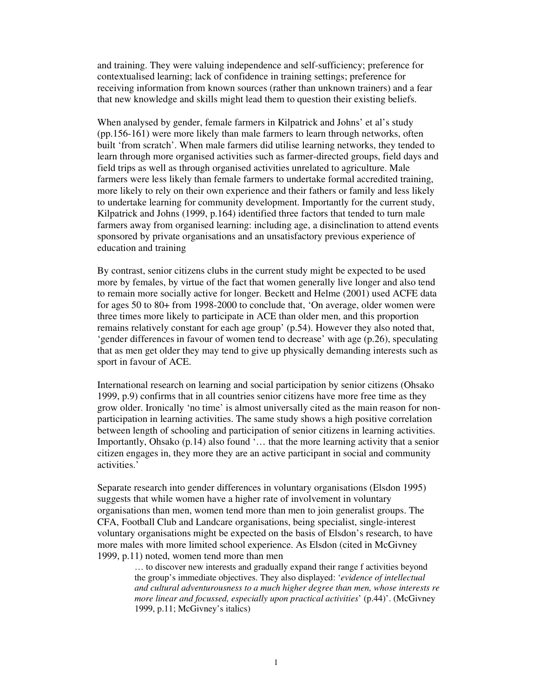and training. They were valuing independence and self-sufficiency; preference for contextualised learning; lack of confidence in training settings; preference for receiving information from known sources (rather than unknown trainers) and a fear that new knowledge and skills might lead them to question their existing beliefs.

When analysed by gender, female farmers in Kilpatrick and Johns' et al's study (pp.156-161) were more likely than male farmers to learn through networks, often built 'from scratch'. When male farmers did utilise learning networks, they tended to learn through more organised activities such as farmer-directed groups, field days and field trips as well as through organised activities unrelated to agriculture. Male farmers were less likely than female farmers to undertake formal accredited training, more likely to rely on their own experience and their fathers or family and less likely to undertake learning for community development. Importantly for the current study, Kilpatrick and Johns (1999, p.164) identified three factors that tended to turn male farmers away from organised learning: including age, a disinclination to attend events sponsored by private organisations and an unsatisfactory previous experience of education and training

By contrast, senior citizens clubs in the current study might be expected to be used more by females, by virtue of the fact that women generally live longer and also tend to remain more socially active for longer. Beckett and Helme (2001) used ACFE data for ages 50 to 80+ from 1998-2000 to conclude that, 'On average, older women were three times more likely to participate in ACE than older men, and this proportion remains relatively constant for each age group' (p.54). However they also noted that, 'gender differences in favour of women tend to decrease' with age (p.26), speculating that as men get older they may tend to give up physically demanding interests such as sport in favour of ACE.

International research on learning and social participation by senior citizens (Ohsako 1999, p.9) confirms that in all countries senior citizens have more free time as they grow older. Ironically 'no time' is almost universally cited as the main reason for nonparticipation in learning activities. The same study shows a high positive correlation between length of schooling and participation of senior citizens in learning activities. Importantly, Ohsako (p.14) also found '… that the more learning activity that a senior citizen engages in, they more they are an active participant in social and community activities.'

Separate research into gender differences in voluntary organisations (Elsdon 1995) suggests that while women have a higher rate of involvement in voluntary organisations than men, women tend more than men to join generalist groups. The CFA, Football Club and Landcare organisations, being specialist, single-interest voluntary organisations might be expected on the basis of Elsdon's research, to have more males with more limited school experience. As Elsdon (cited in McGivney 1999, p.11) noted, women tend more than men

> … to discover new interests and gradually expand their range f activities beyond the group's immediate objectives. They also displayed: '*evidence of intellectual and cultural adventurousness to a much higher degree than men, whose interests re more linear and focussed, especially upon practical activities*' (p.44)'. (McGivney 1999, p.11; McGivney's italics)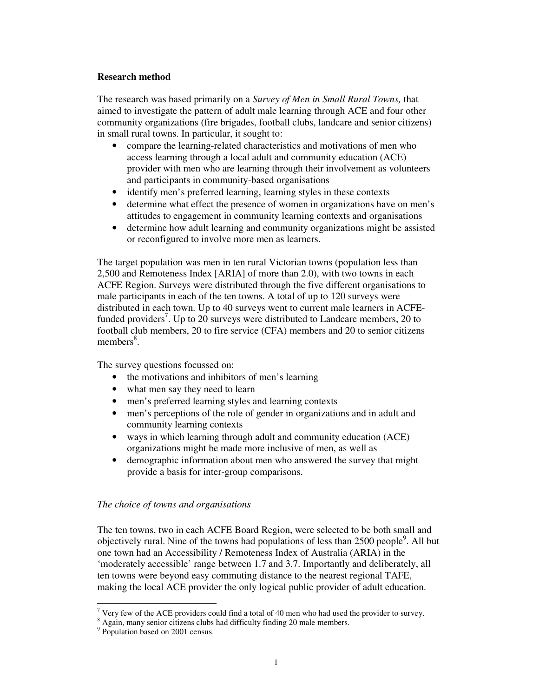#### **Research method**

The research was based primarily on a *Survey of Men in Small Rural Towns,* that aimed to investigate the pattern of adult male learning through ACE and four other community organizations (fire brigades, football clubs, landcare and senior citizens) in small rural towns. In particular, it sought to:

- compare the learning-related characteristics and motivations of men who access learning through a local adult and community education (ACE) provider with men who are learning through their involvement as volunteers and participants in community-based organisations
- identify men's preferred learning, learning styles in these contexts
- determine what effect the presence of women in organizations have on men's attitudes to engagement in community learning contexts and organisations
- determine how adult learning and community organizations might be assisted or reconfigured to involve more men as learners.

The target population was men in ten rural Victorian towns (population less than 2,500 and Remoteness Index [ARIA] of more than 2.0), with two towns in each ACFE Region. Surveys were distributed through the five different organisations to male participants in each of the ten towns. A total of up to 120 surveys were distributed in each town. Up to 40 surveys went to current male learners in ACFEfunded providers<sup>7</sup>. Up to 20 surveys were distributed to Landcare members, 20 to football club members, 20 to fire service (CFA) members and 20 to senior citizens members<sup>8</sup>.

The survey questions focussed on:

- the motivations and inhibitors of men's learning
- what men say they need to learn
- men's preferred learning styles and learning contexts
- men's perceptions of the role of gender in organizations and in adult and community learning contexts
- ways in which learning through adult and community education (ACE) organizations might be made more inclusive of men, as well as
- demographic information about men who answered the survey that might provide a basis for inter-group comparisons.

## *The choice of towns and organisations*

The ten towns, two in each ACFE Board Region, were selected to be both small and objectively rural. Nine of the towns had populations of less than 2500 people<sup>9</sup>. All but one town had an Accessibility / Remoteness Index of Australia (ARIA) in the 'moderately accessible' range between 1.7 and 3.7. Importantly and deliberately, all ten towns were beyond easy commuting distance to the nearest regional TAFE, making the local ACE provider the only logical public provider of adult education.

<sup>7</sup> Very few of the ACE providers could find a total of 40 men who had used the provider to survey.

<sup>&</sup>lt;sup>8</sup> Again, many senior citizens clubs had difficulty finding 20 male members.

<sup>&</sup>lt;sup>9</sup> Population based on 2001 census.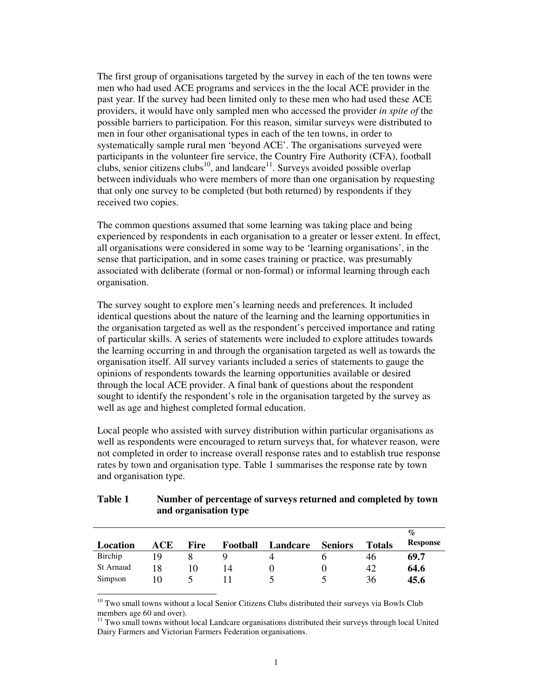The first group of organisations targeted by the survey in each of the ten towns were men who had used ACE programs and services in the the local ACE provider in the past year. If the survey had been limited only to these men who had used these ACE providers, it would have only sampled men who accessed the provider *in spite of* the possible barriers to participation. For this reason, similar surveys were distributed to men in four other organisational types in each of the ten towns, in order to systematically sample rural men 'beyond ACE'. The organisations surveyed were participants in the volunteer fire service, the Country Fire Authority (CFA), football clubs, senior citizens clubs<sup>10</sup>, and landcare<sup>11</sup>. Surveys avoided possible overlap between individuals who were members of more than one organisation by requesting that only one survey to be completed (but both returned) by respondents if they received two copies.

The common questions assumed that some learning was taking place and being experienced by respondents in each organisation to a greater or lesser extent. In effect, all organisations were considered in some way to be 'learning organisations', in the sense that participation, and in some cases training or practice, was presumably associated with deliberate (formal or non-formal) or informal learning through each organisation.

The survey sought to explore men's learning needs and preferences. It included identical questions about the nature of the learning and the learning opportunities in the organisation targeted as well as the respondent's perceived importance and rating of particular skills. A series of statements were included to explore attitudes towards the learning occurring in and through the organisation targeted as well as towards the organisation itself. All survey variants included a series of statements to gauge the opinions of respondents towards the learning opportunities available or desired through the local ACE provider. A final bank of questions about the respondent sought to identify the respondent's role in the organisation targeted by the survey as well as age and highest completed formal education.

Local people who assisted with survey distribution within particular organisations as well as respondents were encouraged to return surveys that, for whatever reason, were not completed in order to increase overall response rates and to establish true response rates by town and organisation type. Table 1 summarises the response rate by town and organisation type.

## **Table 1 Number of percentage of surveys returned and completed by town and organisation type**

| Location  | ACE | Fire | Football | Landcare | <b>Seniors</b> | <b>Totals</b> | $\mathcal{G}_{\mathcal{O}}$<br><b>Response</b> |
|-----------|-----|------|----------|----------|----------------|---------------|------------------------------------------------|
| Birchip   | 1 Q |      |          |          |                | 46            | 69.7                                           |
| St Arnaud |     |      | 14       |          |                | 42            | 64.6                                           |
| Simpson   | 10  |      |          |          |                | 36            | 45.6                                           |

<sup>10</sup> Two small towns without a local Senior Citizens Clubs distributed their surveys via Bowls Club members age 60 and over).

<sup>&</sup>lt;sup>11</sup> Two small towns without local Landcare organisations distributed their surveys through local United Dairy Farmers and Victorian Farmers Federation organisations.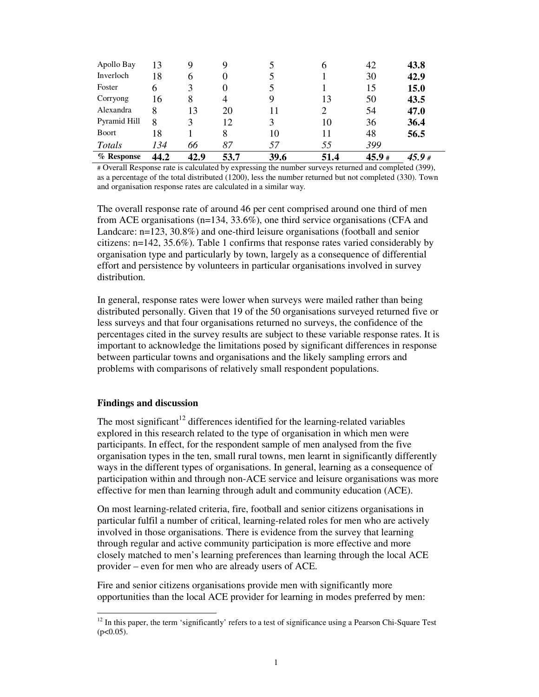| Apollo Bay   | 13   | 9    | 9    |      | 6    | 42      | 43.8    |
|--------------|------|------|------|------|------|---------|---------|
| Inverloch    | 18   | 6    | 0    | 5    |      | 30      | 42.9    |
| Foster       | 6    | 3    | 0    | 5    |      | 15      | 15.0    |
| Corryong     | 16   | 8    | 4    | 9    | 13   | 50      | 43.5    |
| Alexandra    | 8    | 13   | 20   | 11   | 2    | 54      | 47.0    |
| Pyramid Hill | 8    | 3    | 12   | 3    | 10   | 36      | 36.4    |
| <b>Boort</b> | 18   |      | 8    | 10   | 11   | 48      | 56.5    |
| Totals       | 134  | 66   | 87   | 57   | 55   | 399     |         |
| % Response   | 44.2 | 42.9 | 53.7 | 39.6 | 51.4 | $45.9*$ | $45.9*$ |

# Overall Response rate is calculated by expressing the number surveys returned and completed (399), as a percentage of the total distributed (1200), less the number returned but not completed (330). Town and organisation response rates are calculated in a similar way.

The overall response rate of around 46 per cent comprised around one third of men from ACE organisations (n=134, 33.6%), one third service organisations (CFA and Landcare: n=123, 30.8%) and one-third leisure organisations (football and senior citizens: n=142, 35.6%). Table 1 confirms that response rates varied considerably by organisation type and particularly by town, largely as a consequence of differential effort and persistence by volunteers in particular organisations involved in survey distribution.

In general, response rates were lower when surveys were mailed rather than being distributed personally. Given that 19 of the 50 organisations surveyed returned five or less surveys and that four organisations returned no surveys, the confidence of the percentages cited in the survey results are subject to these variable response rates. It is important to acknowledge the limitations posed by significant differences in response between particular towns and organisations and the likely sampling errors and problems with comparisons of relatively small respondent populations.

# **Findings and discussion**

The most significant $12$  differences identified for the learning-related variables explored in this research related to the type of organisation in which men were participants. In effect, for the respondent sample of men analysed from the five organisation types in the ten, small rural towns, men learnt in significantly differently ways in the different types of organisations. In general, learning as a consequence of participation within and through non-ACE service and leisure organisations was more effective for men than learning through adult and community education (ACE).

On most learning-related criteria, fire, football and senior citizens organisations in particular fulfil a number of critical, learning-related roles for men who are actively involved in those organisations. There is evidence from the survey that learning through regular and active community participation is more effective and more closely matched to men's learning preferences than learning through the local ACE provider – even for men who are already users of ACE.

Fire and senior citizens organisations provide men with significantly more opportunities than the local ACE provider for learning in modes preferred by men:

<sup>&</sup>lt;sup>12</sup> In this paper, the term 'significantly' refers to a test of significance using a Pearson Chi-Square Test  $(p<0.05)$ .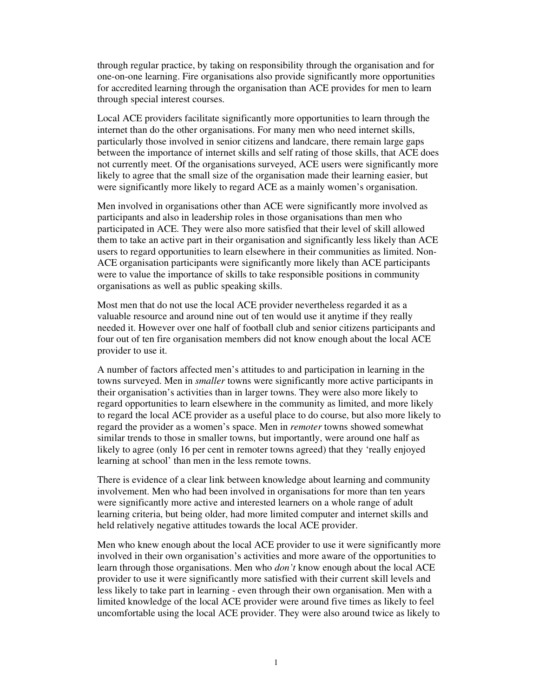through regular practice, by taking on responsibility through the organisation and for one-on-one learning. Fire organisations also provide significantly more opportunities for accredited learning through the organisation than ACE provides for men to learn through special interest courses.

Local ACE providers facilitate significantly more opportunities to learn through the internet than do the other organisations. For many men who need internet skills, particularly those involved in senior citizens and landcare, there remain large gaps between the importance of internet skills and self rating of those skills, that ACE does not currently meet. Of the organisations surveyed, ACE users were significantly more likely to agree that the small size of the organisation made their learning easier, but were significantly more likely to regard ACE as a mainly women's organisation.

Men involved in organisations other than ACE were significantly more involved as participants and also in leadership roles in those organisations than men who participated in ACE. They were also more satisfied that their level of skill allowed them to take an active part in their organisation and significantly less likely than ACE users to regard opportunities to learn elsewhere in their communities as limited. Non-ACE organisation participants were significantly more likely than ACE participants were to value the importance of skills to take responsible positions in community organisations as well as public speaking skills.

Most men that do not use the local ACE provider nevertheless regarded it as a valuable resource and around nine out of ten would use it anytime if they really needed it. However over one half of football club and senior citizens participants and four out of ten fire organisation members did not know enough about the local ACE provider to use it.

A number of factors affected men's attitudes to and participation in learning in the towns surveyed. Men in *smaller* towns were significantly more active participants in their organisation's activities than in larger towns. They were also more likely to regard opportunities to learn elsewhere in the community as limited, and more likely to regard the local ACE provider as a useful place to do course, but also more likely to regard the provider as a women's space. Men in *remoter* towns showed somewhat similar trends to those in smaller towns, but importantly, were around one half as likely to agree (only 16 per cent in remoter towns agreed) that they 'really enjoyed learning at school' than men in the less remote towns.

There is evidence of a clear link between knowledge about learning and community involvement. Men who had been involved in organisations for more than ten years were significantly more active and interested learners on a whole range of adult learning criteria, but being older, had more limited computer and internet skills and held relatively negative attitudes towards the local ACE provider.

Men who knew enough about the local ACE provider to use it were significantly more involved in their own organisation's activities and more aware of the opportunities to learn through those organisations. Men who *don't* know enough about the local ACE provider to use it were significantly more satisfied with their current skill levels and less likely to take part in learning - even through their own organisation. Men with a limited knowledge of the local ACE provider were around five times as likely to feel uncomfortable using the local ACE provider. They were also around twice as likely to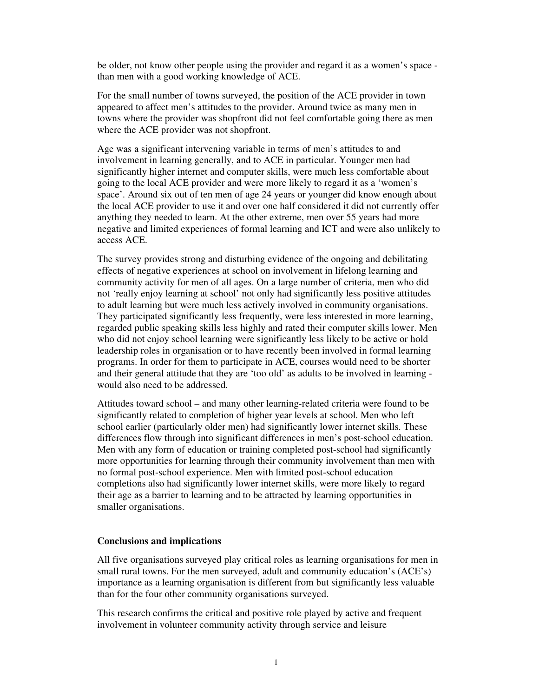be older, not know other people using the provider and regard it as a women's space than men with a good working knowledge of ACE.

For the small number of towns surveyed, the position of the ACE provider in town appeared to affect men's attitudes to the provider. Around twice as many men in towns where the provider was shopfront did not feel comfortable going there as men where the ACE provider was not shopfront.

Age was a significant intervening variable in terms of men's attitudes to and involvement in learning generally, and to ACE in particular. Younger men had significantly higher internet and computer skills, were much less comfortable about going to the local ACE provider and were more likely to regard it as a 'women's space'. Around six out of ten men of age 24 years or younger did know enough about the local ACE provider to use it and over one half considered it did not currently offer anything they needed to learn. At the other extreme, men over 55 years had more negative and limited experiences of formal learning and ICT and were also unlikely to access ACE.

The survey provides strong and disturbing evidence of the ongoing and debilitating effects of negative experiences at school on involvement in lifelong learning and community activity for men of all ages. On a large number of criteria, men who did not 'really enjoy learning at school' not only had significantly less positive attitudes to adult learning but were much less actively involved in community organisations. They participated significantly less frequently, were less interested in more learning, regarded public speaking skills less highly and rated their computer skills lower. Men who did not enjoy school learning were significantly less likely to be active or hold leadership roles in organisation or to have recently been involved in formal learning programs. In order for them to participate in ACE, courses would need to be shorter and their general attitude that they are 'too old' as adults to be involved in learning would also need to be addressed.

Attitudes toward school – and many other learning-related criteria were found to be significantly related to completion of higher year levels at school. Men who left school earlier (particularly older men) had significantly lower internet skills. These differences flow through into significant differences in men's post-school education. Men with any form of education or training completed post-school had significantly more opportunities for learning through their community involvement than men with no formal post-school experience. Men with limited post-school education completions also had significantly lower internet skills, were more likely to regard their age as a barrier to learning and to be attracted by learning opportunities in smaller organisations.

#### **Conclusions and implications**

All five organisations surveyed play critical roles as learning organisations for men in small rural towns. For the men surveyed, adult and community education's (ACE's) importance as a learning organisation is different from but significantly less valuable than for the four other community organisations surveyed.

This research confirms the critical and positive role played by active and frequent involvement in volunteer community activity through service and leisure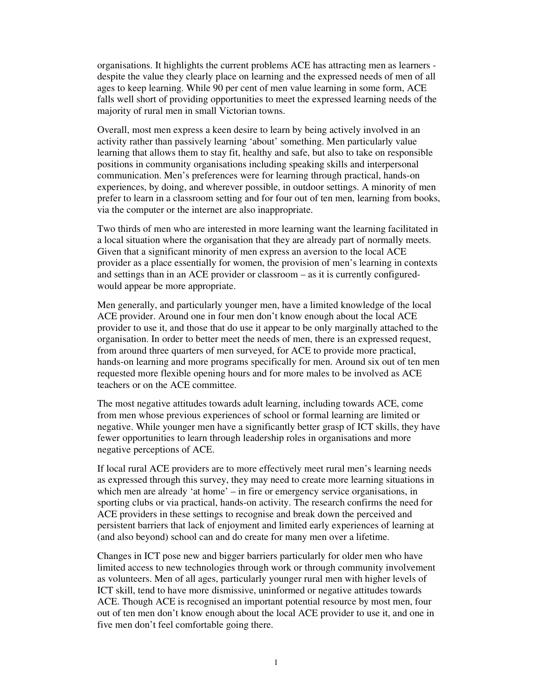organisations. It highlights the current problems ACE has attracting men as learners despite the value they clearly place on learning and the expressed needs of men of all ages to keep learning. While 90 per cent of men value learning in some form, ACE falls well short of providing opportunities to meet the expressed learning needs of the majority of rural men in small Victorian towns.

Overall, most men express a keen desire to learn by being actively involved in an activity rather than passively learning 'about' something. Men particularly value learning that allows them to stay fit, healthy and safe, but also to take on responsible positions in community organisations including speaking skills and interpersonal communication. Men's preferences were for learning through practical, hands-on experiences, by doing, and wherever possible, in outdoor settings. A minority of men prefer to learn in a classroom setting and for four out of ten men, learning from books, via the computer or the internet are also inappropriate.

Two thirds of men who are interested in more learning want the learning facilitated in a local situation where the organisation that they are already part of normally meets. Given that a significant minority of men express an aversion to the local ACE provider as a place essentially for women, the provision of men's learning in contexts and settings than in an ACE provider or classroom – as it is currently configuredwould appear be more appropriate.

Men generally, and particularly younger men, have a limited knowledge of the local ACE provider. Around one in four men don't know enough about the local ACE provider to use it, and those that do use it appear to be only marginally attached to the organisation. In order to better meet the needs of men, there is an expressed request, from around three quarters of men surveyed, for ACE to provide more practical, hands-on learning and more programs specifically for men. Around six out of ten men requested more flexible opening hours and for more males to be involved as ACE teachers or on the ACE committee.

The most negative attitudes towards adult learning, including towards ACE, come from men whose previous experiences of school or formal learning are limited or negative. While younger men have a significantly better grasp of ICT skills, they have fewer opportunities to learn through leadership roles in organisations and more negative perceptions of ACE.

If local rural ACE providers are to more effectively meet rural men's learning needs as expressed through this survey, they may need to create more learning situations in which men are already 'at home' – in fire or emergency service organisations, in sporting clubs or via practical, hands-on activity. The research confirms the need for ACE providers in these settings to recognise and break down the perceived and persistent barriers that lack of enjoyment and limited early experiences of learning at (and also beyond) school can and do create for many men over a lifetime.

Changes in ICT pose new and bigger barriers particularly for older men who have limited access to new technologies through work or through community involvement as volunteers. Men of all ages, particularly younger rural men with higher levels of ICT skill, tend to have more dismissive, uninformed or negative attitudes towards ACE. Though ACE is recognised an important potential resource by most men, four out of ten men don't know enough about the local ACE provider to use it, and one in five men don't feel comfortable going there.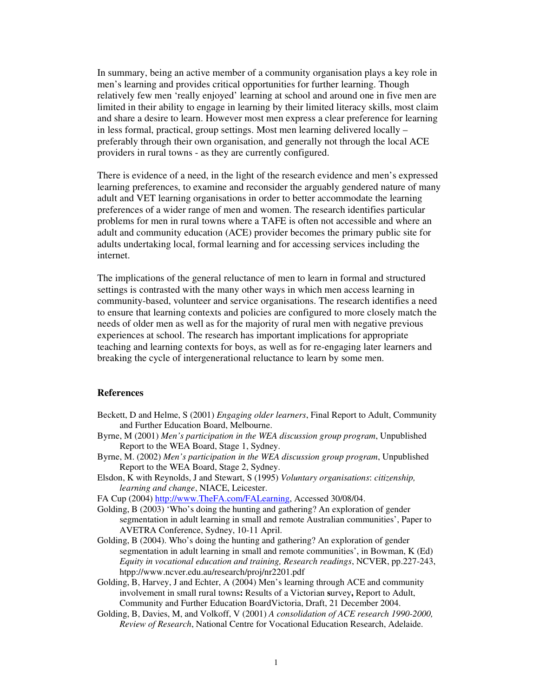In summary, being an active member of a community organisation plays a key role in men's learning and provides critical opportunities for further learning. Though relatively few men 'really enjoyed' learning at school and around one in five men are limited in their ability to engage in learning by their limited literacy skills, most claim and share a desire to learn. However most men express a clear preference for learning in less formal, practical, group settings. Most men learning delivered locally – preferably through their own organisation, and generally not through the local ACE providers in rural towns - as they are currently configured.

There is evidence of a need, in the light of the research evidence and men's expressed learning preferences, to examine and reconsider the arguably gendered nature of many adult and VET learning organisations in order to better accommodate the learning preferences of a wider range of men and women. The research identifies particular problems for men in rural towns where a TAFE is often not accessible and where an adult and community education (ACE) provider becomes the primary public site for adults undertaking local, formal learning and for accessing services including the internet.

The implications of the general reluctance of men to learn in formal and structured settings is contrasted with the many other ways in which men access learning in community-based, volunteer and service organisations. The research identifies a need to ensure that learning contexts and policies are configured to more closely match the needs of older men as well as for the majority of rural men with negative previous experiences at school. The research has important implications for appropriate teaching and learning contexts for boys, as well as for re-engaging later learners and breaking the cycle of intergenerational reluctance to learn by some men.

#### **References**

- Beckett, D and Helme, S (2001) *Engaging older learners*, Final Report to Adult, Community and Further Education Board, Melbourne.
- Byrne, M (2001) *Men's participation in the WEA discussion group program*, Unpublished Report to the WEA Board, Stage 1, Sydney.
- Byrne, M. (2002) *Men's participation in the WEA discussion group program*, Unpublished Report to the WEA Board, Stage 2, Sydney.
- Elsdon, K with Reynolds, J and Stewart, S (1995) *Voluntary organisations*: *citizenship, learning and change*, NIACE, Leicester.

FA Cup (2004) http://www.TheFA.com/FALearning, Accessed 30/08/04.

Golding, B (2003) 'Who's doing the hunting and gathering? An exploration of gender segmentation in adult learning in small and remote Australian communities', Paper to AVETRA Conference, Sydney, 10-11 April.

Golding, B (2004). Who's doing the hunting and gathering? An exploration of gender segmentation in adult learning in small and remote communities', in Bowman, K (Ed) *Equity in vocational education and training, Research readings*, NCVER, pp.227-243, htpp://www.ncver.edu.au/research/proj/nr2201.pdf

Golding, B, Harvey, J and Echter, A (2004) Men's learning through ACE and community involvement in small rural towns**:** Results of a Victorian **s**urvey**,** Report to Adult, Community and Further Education BoardVictoria, Draft, 21 December 2004.

Golding, B, Davies, M, and Volkoff, V (2001) *A consolidation of ACE research 1990-2000, Review of Research*, National Centre for Vocational Education Research, Adelaide.